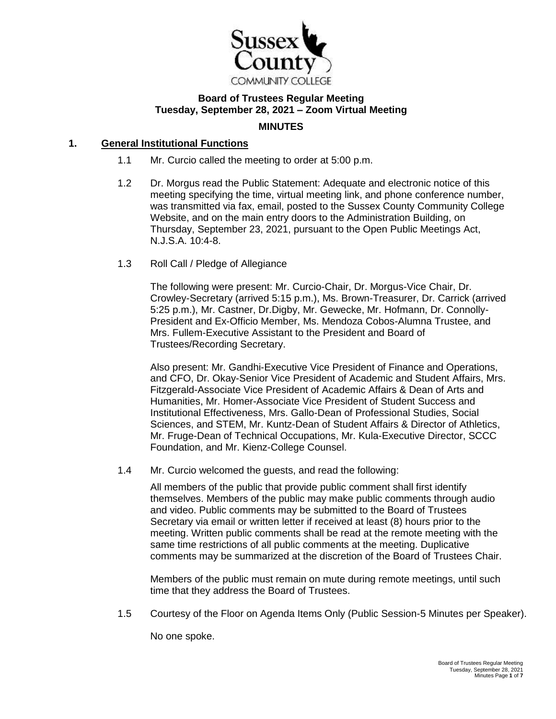

# **Board of Trustees Regular Meeting Tuesday, September 28, 2021 – Zoom Virtual Meeting MINUTES**

## **1. General Institutional Functions**

- 1.1 Mr. Curcio called the meeting to order at 5:00 p.m.
- 1.2 Dr. Morgus read the Public Statement: Adequate and electronic notice of this meeting specifying the time, virtual meeting link, and phone conference number, was transmitted via fax, email, posted to the Sussex County Community College Website, and on the main entry doors to the Administration Building, on Thursday, September 23, 2021, pursuant to the Open Public Meetings Act, N.J.S.A. 10:4-8.
- 1.3 Roll Call / Pledge of Allegiance

The following were present: Mr. Curcio-Chair, Dr. Morgus-Vice Chair, Dr. Crowley-Secretary (arrived 5:15 p.m.), Ms. Brown-Treasurer, Dr. Carrick (arrived 5:25 p.m.), Mr. Castner, Dr.Digby, Mr. Gewecke, Mr. Hofmann, Dr. Connolly-President and Ex-Officio Member, Ms. Mendoza Cobos-Alumna Trustee, and Mrs. Fullem-Executive Assistant to the President and Board of Trustees/Recording Secretary.

Also present: Mr. Gandhi-Executive Vice President of Finance and Operations, and CFO, Dr. Okay-Senior Vice President of Academic and Student Affairs, Mrs. Fitzgerald-Associate Vice President of Academic Affairs & Dean of Arts and Humanities, Mr. Homer-Associate Vice President of Student Success and Institutional Effectiveness, Mrs. Gallo-Dean of Professional Studies, Social Sciences, and STEM, Mr. Kuntz-Dean of Student Affairs & Director of Athletics, Mr. Fruge-Dean of Technical Occupations, Mr. Kula-Executive Director, SCCC Foundation, and Mr. Kienz-College Counsel.

1.4 Mr. Curcio welcomed the guests, and read the following:

All members of the public that provide public comment shall first identify themselves. Members of the public may make public comments through audio and video. Public comments may be submitted to the Board of Trustees Secretary via email or written letter if received at least (8) hours prior to the meeting. Written public comments shall be read at the remote meeting with the same time restrictions of all public comments at the meeting. Duplicative comments may be summarized at the discretion of the Board of Trustees Chair.

Members of the public must remain on mute during remote meetings, until such time that they address the Board of Trustees.

1.5 Courtesy of the Floor on Agenda Items Only (Public Session-5 Minutes per Speaker).

No one spoke.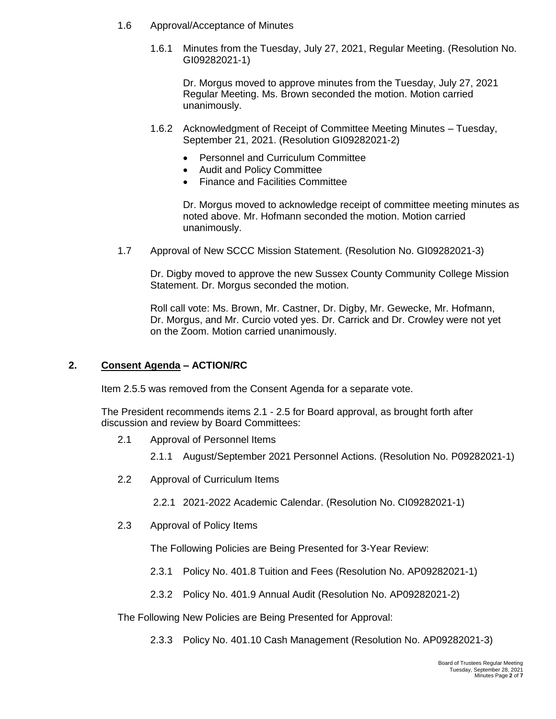- 1.6 Approval/Acceptance of Minutes
	- 1.6.1 Minutes from the Tuesday, July 27, 2021, Regular Meeting. (Resolution No. GI09282021-1)

Dr. Morgus moved to approve minutes from the Tuesday, July 27, 2021 Regular Meeting. Ms. Brown seconded the motion. Motion carried unanimously.

- 1.6.2 Acknowledgment of Receipt of Committee Meeting Minutes Tuesday, September 21, 2021. (Resolution GI09282021-2)
	- Personnel and Curriculum Committee
	- Audit and Policy Committee
	- Finance and Facilities Committee

Dr. Morgus moved to acknowledge receipt of committee meeting minutes as noted above. Mr. Hofmann seconded the motion. Motion carried unanimously.

1.7 Approval of New SCCC Mission Statement. (Resolution No. GI09282021-3)

Dr. Digby moved to approve the new Sussex County Community College Mission Statement. Dr. Morgus seconded the motion.

Roll call vote: Ms. Brown, Mr. Castner, Dr. Digby, Mr. Gewecke, Mr. Hofmann, Dr. Morgus, and Mr. Curcio voted yes. Dr. Carrick and Dr. Crowley were not yet on the Zoom. Motion carried unanimously.

#### **2. Consent Agenda – ACTION/RC**

Item 2.5.5 was removed from the Consent Agenda for a separate vote.

The President recommends items 2.1 - 2.5 for Board approval, as brought forth after discussion and review by Board Committees:

- 2.1 Approval of Personnel Items
	- 2.1.1 August/September 2021 Personnel Actions. (Resolution No. P09282021-1)
- 2.2 Approval of Curriculum Items
	- 2.2.1 2021-2022 Academic Calendar. (Resolution No. CI09282021-1)
- 2.3 Approval of Policy Items

The Following Policies are Being Presented for 3-Year Review:

- 2.3.1 Policy No. 401.8 Tuition and Fees (Resolution No. AP09282021-1)
- 2.3.2 Policy No. 401.9 Annual Audit (Resolution No. AP09282021-2)

The Following New Policies are Being Presented for Approval:

2.3.3 Policy No. 401.10 Cash Management (Resolution No. AP09282021-3)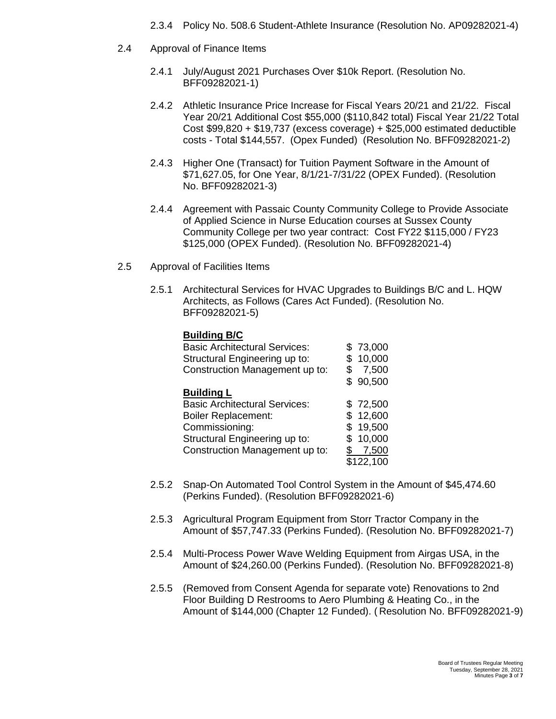- 2.3.4 Policy No. 508.6 Student-Athlete Insurance (Resolution No. AP09282021-4)
- 2.4 Approval of Finance Items
	- 2.4.1 July/August 2021 Purchases Over \$10k Report. (Resolution No. BFF09282021-1)
	- 2.4.2 Athletic Insurance Price Increase for Fiscal Years 20/21 and 21/22. Fiscal Year 20/21 Additional Cost \$55,000 (\$110,842 total) Fiscal Year 21/22 Total Cost \$99,820 + \$19,737 (excess coverage) + \$25,000 estimated deductible costs - Total \$144,557. (Opex Funded) (Resolution No. BFF09282021-2)
	- 2.4.3 Higher One (Transact) for Tuition Payment Software in the Amount of \$71,627.05, for One Year, 8/1/21-7/31/22 (OPEX Funded). (Resolution No. BFF09282021-3)
	- 2.4.4 Agreement with Passaic County Community College to Provide Associate of Applied Science in Nurse Education courses at Sussex County Community College per two year contract: Cost FY22 \$115,000 / FY23 \$125,000 (OPEX Funded). (Resolution No. BFF09282021-4)
- 2.5 Approval of Facilities Items
	- 2.5.1 Architectural Services for HVAC Upgrades to Buildings B/C and L. HQW Architects, as Follows (Cares Act Funded). (Resolution No. BFF09282021-5)

#### **Building B/C**

| <b>Basic Architectural Services:</b> |    | \$73,000  |
|--------------------------------------|----|-----------|
| Structural Engineering up to:        |    | 10,000    |
| Construction Management up to:       |    | 7,500     |
|                                      |    | 90,500    |
| <b>Building L</b>                    |    |           |
| <b>Basic Architectural Services:</b> |    | \$72,500  |
| <b>Boiler Replacement:</b>           |    | \$12,600  |
| Commissioning:                       | S. | 19,500    |
| Structural Engineering up to:        |    | 10,000    |
| Construction Management up to:       |    | 7,500     |
|                                      |    | \$122,100 |

- 2.5.2 Snap-On Automated Tool Control System in the Amount of \$45,474.60 (Perkins Funded). (Resolution BFF09282021-6)
- 2.5.3 Agricultural Program Equipment from Storr Tractor Company in the Amount of \$57,747.33 (Perkins Funded). (Resolution No. BFF09282021-7)
- 2.5.4 Multi-Process Power Wave Welding Equipment from Airgas USA, in the Amount of \$24,260.00 (Perkins Funded). (Resolution No. BFF09282021-8)
- 2.5.5 (Removed from Consent Agenda for separate vote) Renovations to 2nd Floor Building D Restrooms to Aero Plumbing & Heating Co., in the Amount of \$144,000 (Chapter 12 Funded). ( Resolution No. BFF09282021-9)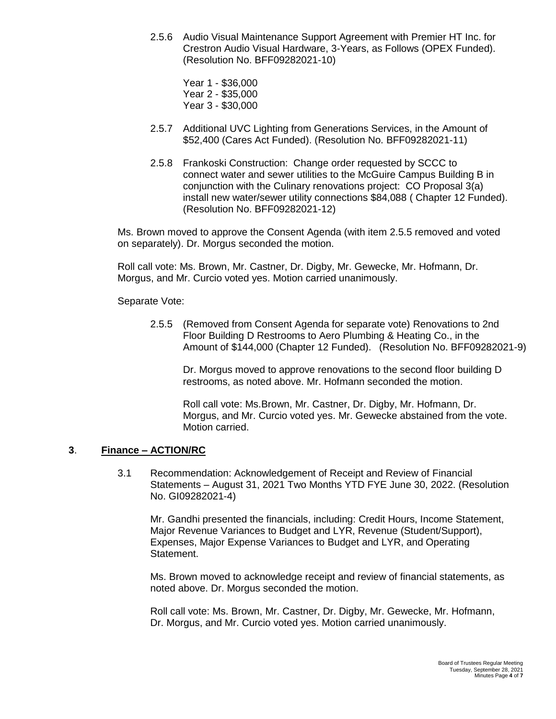2.5.6 Audio Visual Maintenance Support Agreement with Premier HT Inc. for Crestron Audio Visual Hardware, 3-Years, as Follows (OPEX Funded). (Resolution No. BFF09282021-10)

Year 1 - \$36,000 Year 2 - \$35,000 Year 3 - \$30,000

- 2.5.7 Additional UVC Lighting from Generations Services, in the Amount of \$52,400 (Cares Act Funded). (Resolution No. BFF09282021-11)
- 2.5.8 Frankoski Construction: Change order requested by SCCC to connect water and sewer utilities to the McGuire Campus Building B in conjunction with the Culinary renovations project: CO Proposal 3(a) install new water/sewer utility connections \$84,088 ( Chapter 12 Funded). (Resolution No. BFF09282021-12)

Ms. Brown moved to approve the Consent Agenda (with item 2.5.5 removed and voted on separately). Dr. Morgus seconded the motion.

Roll call vote: Ms. Brown, Mr. Castner, Dr. Digby, Mr. Gewecke, Mr. Hofmann, Dr. Morgus, and Mr. Curcio voted yes. Motion carried unanimously.

Separate Vote:

2.5.5 (Removed from Consent Agenda for separate vote) Renovations to 2nd Floor Building D Restrooms to Aero Plumbing & Heating Co., in the Amount of \$144,000 (Chapter 12 Funded). (Resolution No. BFF09282021-9)

Dr. Morgus moved to approve renovations to the second floor building D restrooms, as noted above. Mr. Hofmann seconded the motion.

Roll call vote: Ms.Brown, Mr. Castner, Dr. Digby, Mr. Hofmann, Dr. Morgus, and Mr. Curcio voted yes. Mr. Gewecke abstained from the vote. Motion carried.

## **3**. **Finance – ACTION/RC**

3.1 Recommendation: Acknowledgement of Receipt and Review of Financial Statements – August 31, 2021 Two Months YTD FYE June 30, 2022. (Resolution No. GI09282021-4)

Mr. Gandhi presented the financials, including: Credit Hours, Income Statement, Major Revenue Variances to Budget and LYR, Revenue (Student/Support), Expenses, Major Expense Variances to Budget and LYR, and Operating Statement.

Ms. Brown moved to acknowledge receipt and review of financial statements, as noted above. Dr. Morgus seconded the motion.

Roll call vote: Ms. Brown, Mr. Castner, Dr. Digby, Mr. Gewecke, Mr. Hofmann, Dr. Morgus, and Mr. Curcio voted yes. Motion carried unanimously.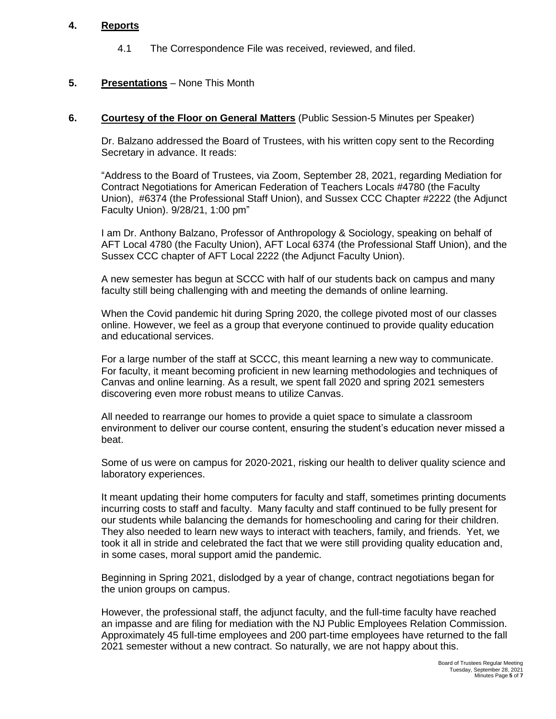#### **4. Reports**

4.1 The Correspondence File was received, reviewed, and filed.

## **5. Presentations** – None This Month

#### **6. Courtesy of the Floor on General Matters** (Public Session-5 Minutes per Speaker)

Dr. Balzano addressed the Board of Trustees, with his written copy sent to the Recording Secretary in advance. It reads:

"Address to the Board of Trustees, via Zoom, September 28, 2021, regarding Mediation for Contract Negotiations for American Federation of Teachers Locals #4780 (the Faculty Union), #6374 (the Professional Staff Union), and Sussex CCC Chapter #2222 (the Adjunct Faculty Union). 9/28/21, 1:00 pm"

I am Dr. Anthony Balzano, Professor of Anthropology & Sociology, speaking on behalf of AFT Local 4780 (the Faculty Union), AFT Local 6374 (the Professional Staff Union), and the Sussex CCC chapter of AFT Local 2222 (the Adjunct Faculty Union).

A new semester has begun at SCCC with half of our students back on campus and many faculty still being challenging with and meeting the demands of online learning.

When the Covid pandemic hit during Spring 2020, the college pivoted most of our classes online. However, we feel as a group that everyone continued to provide quality education and educational services.

For a large number of the staff at SCCC, this meant learning a new way to communicate. For faculty, it meant becoming proficient in new learning methodologies and techniques of Canvas and online learning. As a result, we spent fall 2020 and spring 2021 semesters discovering even more robust means to utilize Canvas.

All needed to rearrange our homes to provide a quiet space to simulate a classroom environment to deliver our course content, ensuring the student's education never missed a beat.

Some of us were on campus for 2020-2021, risking our health to deliver quality science and laboratory experiences.

It meant updating their home computers for faculty and staff, sometimes printing documents incurring costs to staff and faculty. Many faculty and staff continued to be fully present for our students while balancing the demands for homeschooling and caring for their children. They also needed to learn new ways to interact with teachers, family, and friends. Yet, we took it all in stride and celebrated the fact that we were still providing quality education and, in some cases, moral support amid the pandemic.

Beginning in Spring 2021, dislodged by a year of change, contract negotiations began for the union groups on campus.

However, the professional staff, the adjunct faculty, and the full-time faculty have reached an impasse and are filing for mediation with the NJ Public Employees Relation Commission. Approximately 45 full-time employees and 200 part-time employees have returned to the fall 2021 semester without a new contract. So naturally, we are not happy about this.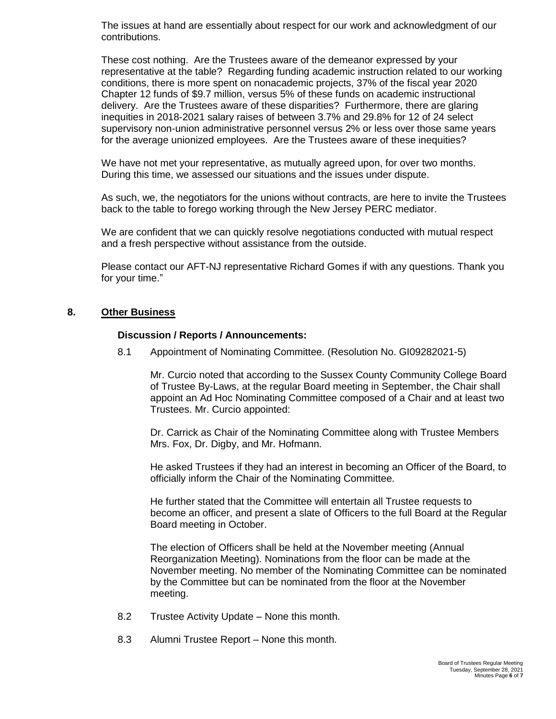The issues at hand are essentially about respect for our work and acknowledgment of our contributions.

These cost nothing. Are the Trustees aware of the demeanor expressed by your representative at the table? Regarding funding academic instruction related to our working conditions, there is more spent on nonacademic projects, 37% of the fiscal year 2020 Chapter 12 funds of \$9.7 million, versus 5% of these funds on academic instructional delivery. Are the Trustees aware of these disparities? Furthermore, there are glaring inequities in 2018-2021 salary raises of between 3.7% and 29.8% for 12 of 24 select supervisory non-union administrative personnel versus 2% or less over those same years for the average unionized employees. Are the Trustees aware of these inequities?

We have not met your representative, as mutually agreed upon, for over two months. During this time, we assessed our situations and the issues under dispute.

As such, we, the negotiators for the unions without contracts, are here to invite the Trustees back to the table to forego working through the New Jersey PERC mediator.

We are confident that we can quickly resolve negotiations conducted with mutual respect and a fresh perspective without assistance from the outside.

Please contact our AFT-NJ representative Richard Gomes if with any questions. Thank you for your time."

#### **8. Other Business**

#### **Discussion / Reports / Announcements:**

8.1 Appointment of Nominating Committee. (Resolution No. GI09282021-5)

Mr. Curcio noted that according to the Sussex County Community College Board of Trustee By-Laws, at the regular Board meeting in September, the Chair shall appoint an Ad Hoc Nominating Committee composed of a Chair and at least two Trustees. Mr. Curcio appointed:

Dr. Carrick as Chair of the Nominating Committee along with Trustee Members Mrs. Fox, Dr. Digby, and Mr. Hofmann.

He asked Trustees if they had an interest in becoming an Officer of the Board, to officially inform the Chair of the Nominating Committee.

He further stated that the Committee will entertain all Trustee requests to become an officer, and present a slate of Officers to the full Board at the Regular Board meeting in October.

The election of Officers shall be held at the November meeting (Annual Reorganization Meeting). Nominations from the floor can be made at the November meeting. No member of the Nominating Committee can be nominated by the Committee but can be nominated from the floor at the November meeting.

- 8.2 Trustee Activity Update None this month.
- 8.3 Alumni Trustee Report None this month.